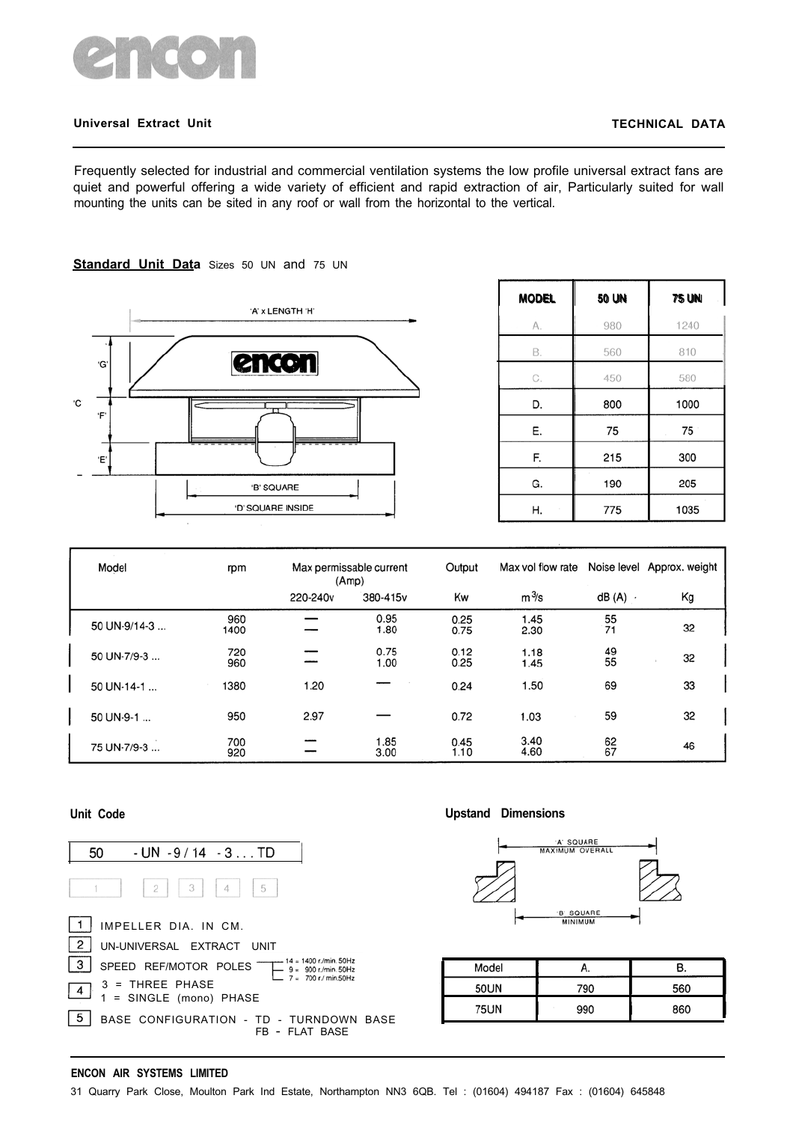

### **Universal Extract Unit TECHNICAL DATA**

Frequently selected for industrial and commercial ventilation systems the low profile universal extract fans are quiet and powerful offering a wide variety of efficient and rapid extraction of air, Particularly suited for wall mounting the units can be sited in any roof or wall from the horizontal to the vertical.

# 'A' x LENGTH 'H' encon ٠Ġ 'C Έ 'B' SQUARE 'D' SQUARE INSIDE

**Standard Unit Data** Sizes 50 UN and 75 UN

| <b>MODEL</b> | 50 UN | <b>75 UN</b> |  |  |
|--------------|-------|--------------|--|--|
| А.           | 980   | 1240         |  |  |
| В.           | 560   | 810          |  |  |
| C.           | 450   | 580          |  |  |
| D.           | 800   | 1000         |  |  |
| Е.           | 75    | 75           |  |  |
| F.           | 215   | 300          |  |  |
| G.           | 190   | 205          |  |  |
| Н.           | 775   | 1035         |  |  |

| Model        | rpm         |          | Max permissable current<br>(Amp) | Output       | Max vol flow rate |           | Noise level Approx. weight |
|--------------|-------------|----------|----------------------------------|--------------|-------------------|-----------|----------------------------|
|              |             | 220-240v | 380-415v                         | Kw           | $m^3\!$ s         | $dB(A)$ . | Kg                         |
| 50 UN-9/14-3 | 960<br>1400 |          | 0.95<br>1.80                     | 0.25<br>0.75 | 1.45<br>2.30      | 55<br>71  | 32                         |
| 50 UN-7/9-3  | 720<br>960  |          | 0.75<br>1.00                     | 0.12<br>0.25 | 1.18<br>1.45      | 49<br>55  | 32                         |
| 50 UN-14-1   | 1380        | 1.20     |                                  | 0.24         | 1.50              | 69        | 33                         |
| 50 UN-9-1    | 950         | 2.97     |                                  | 0.72         | 1.03              | 59        | 32                         |
| 75 UN-7/9-3  | 700<br>920  |          | 1.85<br>3.00                     | 0.45<br>1.10 | 3.40<br>4.60      | 62<br>67  | 46                         |



### **Unit Code Upstand Dimensions**



| Model       |     |     |
|-------------|-----|-----|
| 50UN        | 790 | 560 |
| <b>75UN</b> | 990 | 860 |

#### **ENCON AIR SYSTEMS LIMITED**

31 Quarry Park Close, Moulton Park Ind Estate, Northampton NN3 6QB. Tel : (01604) 494187 Fax : (01604) 645848